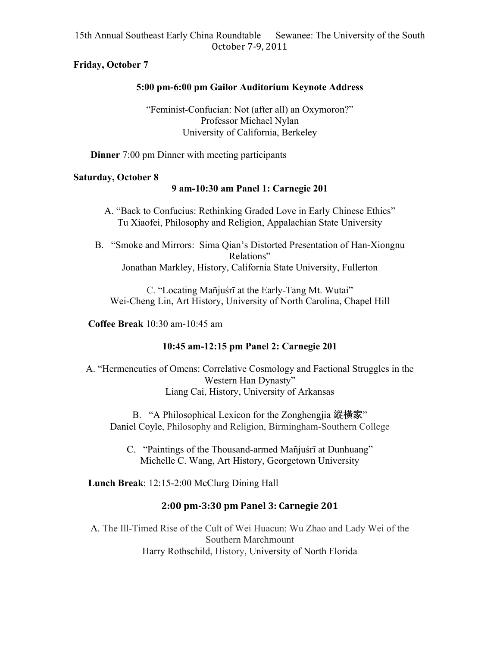# **Friday, October 7**

# **5:00 pm-6:00 pm Gailor Auditorium Keynote Address**

"Feminist-Confucian: Not (after all) an Oxymoron?" Professor Michael Nylan University of California, Berkeley

**Dinner** 7:00 pm Dinner with meeting participants

## **Saturday, October 8**

# **9 am-10:30 am Panel 1: Carnegie 201**

A. "Back to Confucius: Rethinking Graded Love in Early Chinese Ethics" Tu Xiaofei, Philosophy and Religion, Appalachian State University

B. "Smoke and Mirrors: Sima Qian's Distorted Presentation of Han-Xiongnu Relations" Jonathan Markley, History, California State University, Fullerton

C. "Locating Mañjuśrī at the Early-Tang Mt. Wutai" Wei-Cheng Lin, Art History, University of North Carolina, Chapel Hill

**Coffee Break** 10:30 am-10:45 am

# **10:45 am-12:15 pm Panel 2: Carnegie 201**

A. "Hermeneutics of Omens: Correlative Cosmology and Factional Struggles in the Western Han Dynasty" Liang Cai, History, University of Arkansas

B. "A Philosophical Lexicon for the Zonghengjia 縱橫家" Daniel Coyle, Philosophy and Religion, Birmingham-Southern College

C. "Paintings of the Thousand-armed Mañjuśrī at Dunhuang" Michelle C. Wang, Art History, Georgetown University

**Lunch Break**: 12:15-2:00 McClurg Dining Hall

# **2:00\$pm'3:30\$pm\$Panel\$3:\$Carnegie\$201**

A. The Ill-Timed Rise of the Cult of Wei Huacun: Wu Zhao and Lady Wei of the Southern Marchmount Harry Rothschild, History, University of North Florida